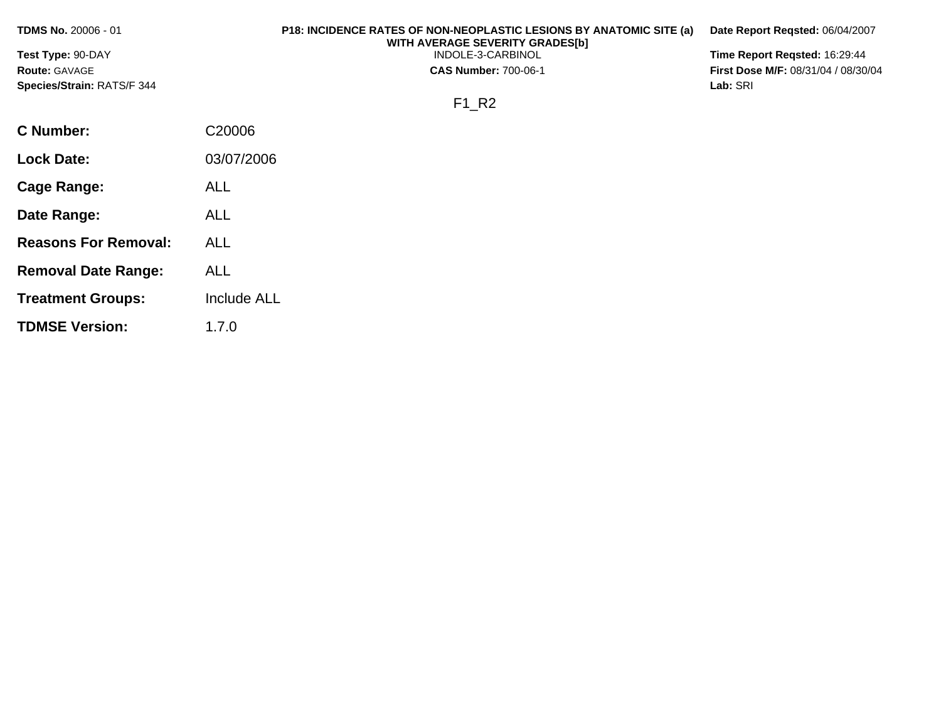| <b>TDMS No. 20006 - 01</b> | <b>P18: INCIDENCE RATES OF NON-NEOPLASTIC LESIONS BY ANATOMIC SITE (a)</b><br>WITH AVERAGE SEVERITY GRADES[b] | Date Report Regsted: 06/04/2007            |
|----------------------------|---------------------------------------------------------------------------------------------------------------|--------------------------------------------|
| <b>Test Type: 90-DAY</b>   | INDOLE-3-CARBINOL                                                                                             | Time Report Regsted: 16:29:44              |
| <b>Route: GAVAGE</b>       | <b>CAS Number: 700-06-1</b>                                                                                   | <b>First Dose M/F: 08/31/04 / 08/30/04</b> |
| Species/Strain: RATS/F 344 |                                                                                                               | Lab: SRI                                   |
|                            | F1 R2                                                                                                         |                                            |
| C Number:                  | C20006                                                                                                        |                                            |
| <b>Lock Date:</b>          | 03/07/2006                                                                                                    |                                            |
| <b>Cage Range:</b>         | <b>ALL</b>                                                                                                    |                                            |
| Date Range:                | <b>ALL</b>                                                                                                    |                                            |

**Reasons For Removal:** ALL

**Removal Date Range:** ALL

**TDMSE Version:** 1.7.0

**Treatment Groups:** Include ALL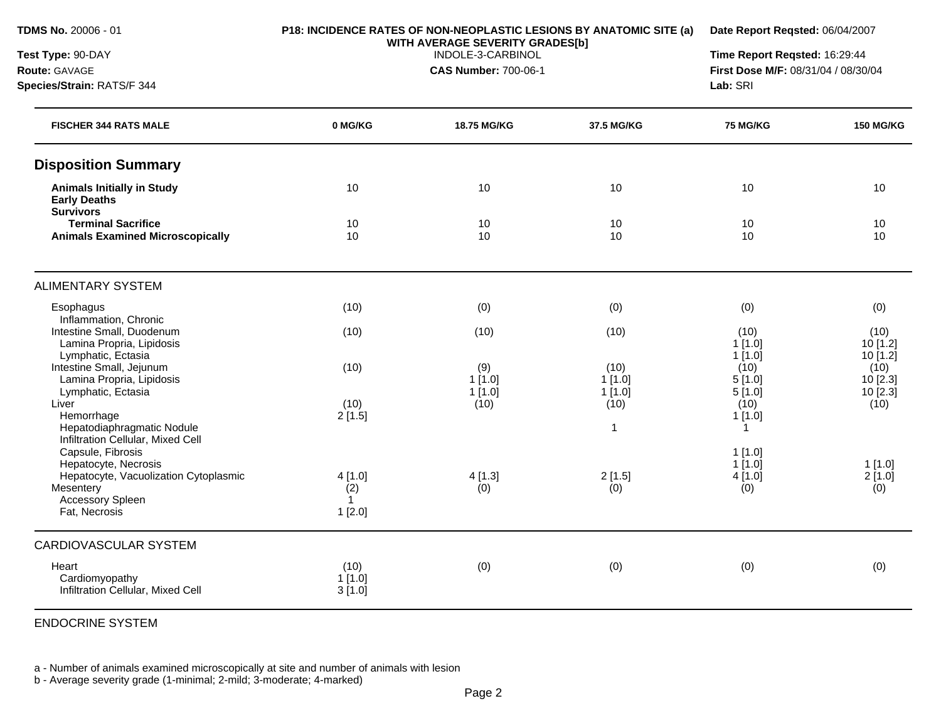**Species/Strain:** RATS/F 344

**Test Type:** 90-DAY **Route:** GAVAGE

### **P18: INCIDENCE RATES OF NON-NEOPLASTIC LESIONS BY ANATOMIC SITE (a) WITH AVERAGE SEVERITY GRADES[b]**

**Date Report Reqsted:** 06/04/2007

INDOLE-3-CARBINOL

**CAS Number:** 700-06-1

**Time Report Reqsted:** 16:29:44 **First Dose M/F:** 08/31/04 / 08/30/04 **Lab:** SRI

| 0 MG/KG                       | 18.75 MG/KG   | 37.5 MG/KG             | <b>75 MG/KG</b>      | <b>150 MG/KG</b>             |
|-------------------------------|---------------|------------------------|----------------------|------------------------------|
|                               |               |                        |                      |                              |
| 10                            | 10            | 10                     | 10                   | 10                           |
| 10<br>10                      | 10<br>10      | 10<br>10               | 10<br>10             | 10<br>10                     |
|                               |               |                        |                      |                              |
| (10)                          | (0)           | (0)                    | (0)                  | (0)                          |
| (10)                          | (10)          | (10)                   | (10)<br>1[1.0]       | (10)<br>10 [1.2]<br>10 [1.2] |
| (10)                          | (9)<br>1[1.0] | (10)<br>$1$ [1.0]      | (10)<br>5[1.0]       | (10)<br>10 [2.3]<br>10 [2.3] |
| (10)<br>2[1.5]                | (10)          | (10)<br>$\overline{1}$ | (10)<br>1[1.0]<br>-1 | (10)                         |
|                               |               |                        | $1$ [1.0]            | $1$ [1.0]                    |
| 4[1.0]<br>(2)<br>$\mathbf{1}$ | 4[1.3]<br>(0) | 2[1.5]<br>(0)          | 4[1.0]<br>(0)        | 2[1.0]<br>(0)                |
|                               |               |                        |                      |                              |
|                               |               |                        |                      |                              |
| (10)<br>1[1.0]<br>3[1.0]      | (0)           | (0)                    | (0)                  | (0)                          |
|                               | 1[2.0]        | 1[1.0]                 | 1[1.0]               | 1[1.0]<br>5[1.0]<br>1[1.0]   |

ENDOCRINE SYSTEM

a - Number of animals examined microscopically at site and number of animals with lesion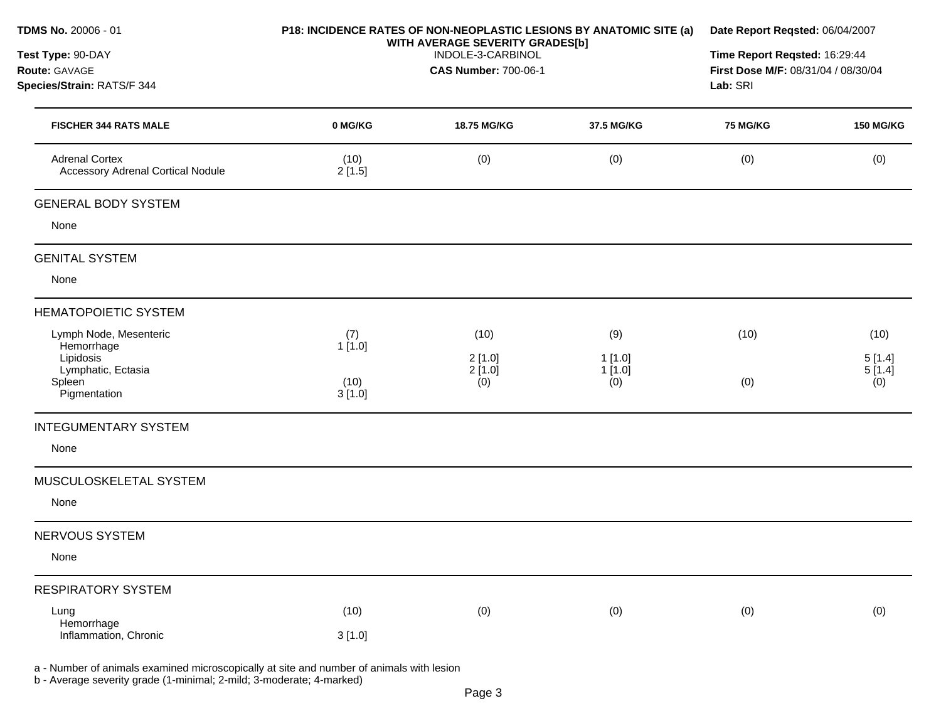| <b>TDMS No. 20006 - 01</b><br>Test Type: 90-DAY                   |                             | WITH AVERAGE SEVERITY GRADES[b]<br>INDOLE-3-CARBINOL | P18: INCIDENCE RATES OF NON-NEOPLASTIC LESIONS BY ANATOMIC SITE (a) | Date Report Reqsted: 06/04/2007<br>Time Report Reqsted: 16:29:44 |                  |
|-------------------------------------------------------------------|-----------------------------|------------------------------------------------------|---------------------------------------------------------------------|------------------------------------------------------------------|------------------|
| Route: GAVAGE<br>Species/Strain: RATS/F 344                       | <b>CAS Number: 700-06-1</b> |                                                      |                                                                     | First Dose M/F: 08/31/04 / 08/30/04<br>Lab: SRI                  |                  |
| <b>FISCHER 344 RATS MALE</b>                                      | 0 MG/KG                     | <b>18.75 MG/KG</b>                                   | 37.5 MG/KG                                                          | <b>75 MG/KG</b>                                                  | <b>150 MG/KG</b> |
| <b>Adrenal Cortex</b><br><b>Accessory Adrenal Cortical Nodule</b> | (10)<br>2[1.5]              | (0)                                                  | (0)                                                                 | (0)                                                              | (0)              |
| <b>GENERAL BODY SYSTEM</b>                                        |                             |                                                      |                                                                     |                                                                  |                  |
| None                                                              |                             |                                                      |                                                                     |                                                                  |                  |
| <b>GENITAL SYSTEM</b>                                             |                             |                                                      |                                                                     |                                                                  |                  |
| None                                                              |                             |                                                      |                                                                     |                                                                  |                  |
| <b>HEMATOPOIETIC SYSTEM</b>                                       |                             |                                                      |                                                                     |                                                                  |                  |
| Lymph Node, Mesenteric<br>Hemorrhage                              | (7)<br>1[1.0]               | (10)                                                 | (9)                                                                 | (10)                                                             | (10)             |
| Lipidosis<br>Lymphatic, Ectasia                                   |                             | 2[1.0]<br>2[1.0]                                     | 1[1.0]<br>1[1.0]                                                    |                                                                  | 5[1.4]<br>5[1.4] |
| Spleen<br>Pigmentation                                            | (10)<br>3[1.0]              | (0)                                                  | (0)                                                                 | (0)                                                              | (0)              |
| <b>INTEGUMENTARY SYSTEM</b>                                       |                             |                                                      |                                                                     |                                                                  |                  |
| None                                                              |                             |                                                      |                                                                     |                                                                  |                  |
| MUSCULOSKELETAL SYSTEM                                            |                             |                                                      |                                                                     |                                                                  |                  |
| None                                                              |                             |                                                      |                                                                     |                                                                  |                  |
| NERVOUS SYSTEM                                                    |                             |                                                      |                                                                     |                                                                  |                  |
| None                                                              |                             |                                                      |                                                                     |                                                                  |                  |
| <b>RESPIRATORY SYSTEM</b>                                         |                             |                                                      |                                                                     |                                                                  |                  |
| Lung<br>Hemorrhage                                                | (10)                        | (0)                                                  | (0)                                                                 | (0)                                                              | (0)              |
| Inflammation, Chronic                                             | 3[1.0]                      |                                                      |                                                                     |                                                                  |                  |

a - Number of animals examined microscopically at site and number of animals with lesion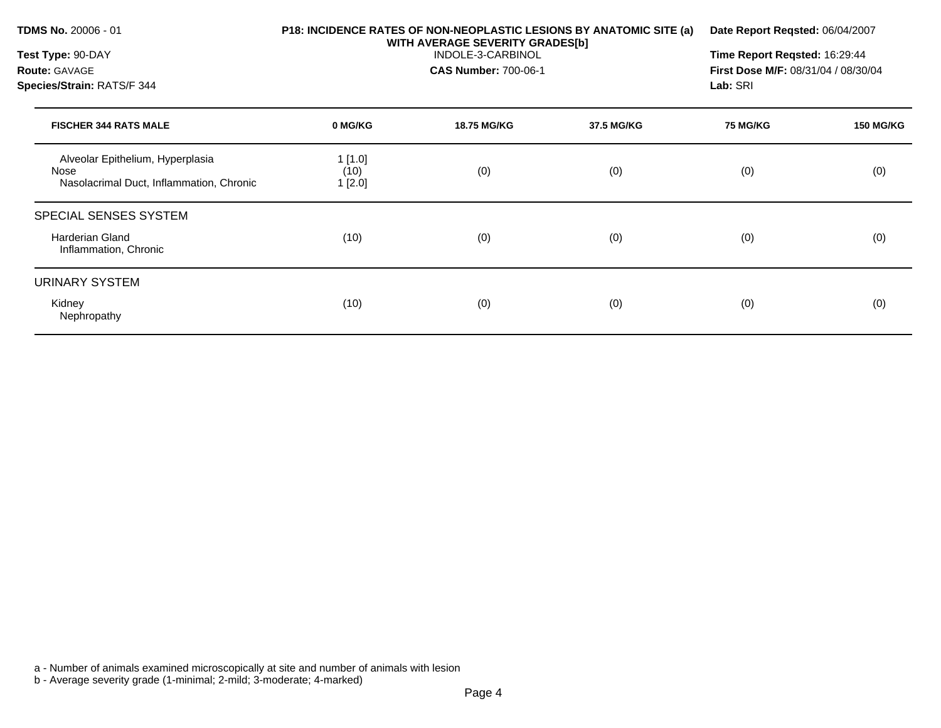| <b>TDMS No. 20006 - 01</b><br>Test Type: 90-DAY<br><b>Route: GAVAGE</b><br>Species/Strain: RATS/F 344 | P18: INCIDENCE RATES OF NON-NEOPLASTIC LESIONS BY ANATOMIC SITE (a)<br>WITH AVERAGE SEVERITY GRADES[b] | Date Report Reqsted: 06/04/2007<br>Time Report Reqsted: 16:29:44<br><b>First Dose M/F: 08/31/04 / 08/30/04</b><br>Lab: SRI |            |                 |                  |
|-------------------------------------------------------------------------------------------------------|--------------------------------------------------------------------------------------------------------|----------------------------------------------------------------------------------------------------------------------------|------------|-----------------|------------------|
| <b>FISCHER 344 RATS MALE</b>                                                                          | 0 MG/KG                                                                                                | <b>18.75 MG/KG</b>                                                                                                         | 37.5 MG/KG | <b>75 MG/KG</b> | <b>150 MG/KG</b> |
| Alveolar Epithelium, Hyperplasia<br>Nose<br>Nasolacrimal Duct, Inflammation, Chronic                  | 1[1.0]<br>(10)<br>1[2.0]                                                                               | (0)                                                                                                                        | (0)        | (0)             | (0)              |
| <b>SPECIAL SENSES SYSTEM</b><br>Harderian Gland<br>Inflammation, Chronic                              | (10)                                                                                                   | (0)                                                                                                                        | (0)        | (0)             | (0)              |
| URINARY SYSTEM<br>Kidney<br>Nephropathy                                                               | (10)                                                                                                   | (0)                                                                                                                        | (0)        | (0)             | (0)              |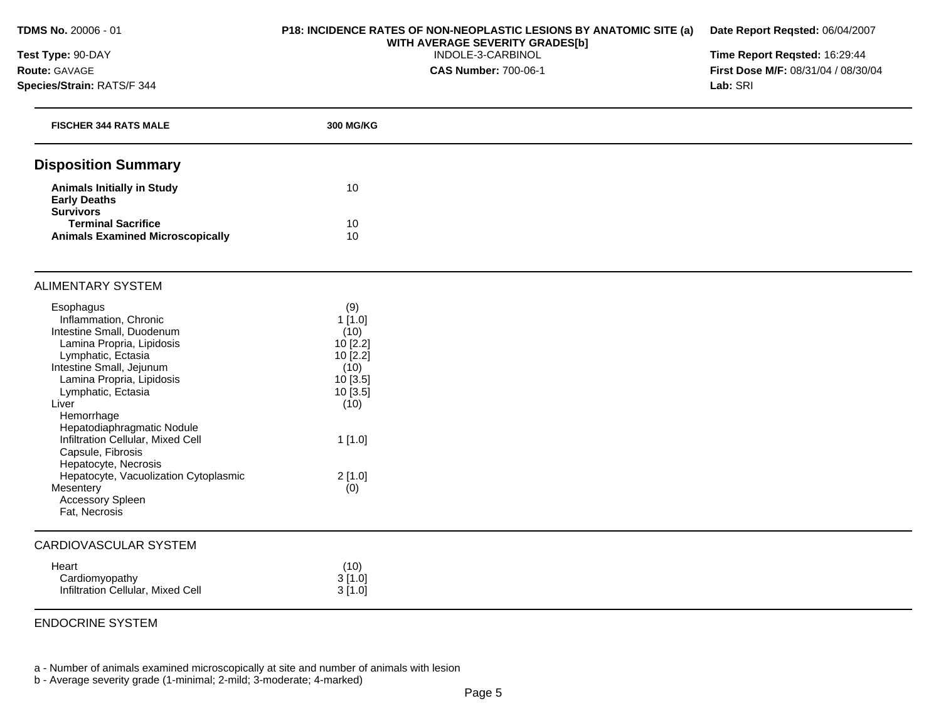## **Test Type:** 90-DAY **Route:** GAVAGE **Species/Strain:** RATS/F 344

## **P18: INCIDENCE RATES OF NON-NEOPLASTIC LESIONS BY ANATOMIC SITE (a) WITH AVERAGE SEVERITY GRADES[b]**  INDOLE-3-CARBINOL

**CAS Number:** 700-06-1

**Time Report Reqsted:** 16:29:44 **First Dose M/F:** 08/31/04 / 08/30/04 **Lab:** SRI

**Date Report Reqsted:** 06/04/2007

| <b>FISCHER 344 RATS MALE</b>                                                             | 300 MG/KG     |  |
|------------------------------------------------------------------------------------------|---------------|--|
| <b>Disposition Summary</b>                                                               |               |  |
| <b>Animals Initially in Study</b><br><b>Early Deaths</b>                                 | 10            |  |
| <b>Survivors</b><br><b>Terminal Sacrifice</b><br><b>Animals Examined Microscopically</b> | 10<br>10      |  |
| <b>ALIMENTARY SYSTEM</b>                                                                 |               |  |
| Esophagus<br>Inflammation, Chronic                                                       | (9)<br>1[1.0] |  |
| Intestine Small, Duodenum                                                                | (10)          |  |
| Lamina Propria, Lipidosis                                                                | 10 [2.2]      |  |
| Lymphatic, Ectasia                                                                       | 10 [2.2]      |  |
| Intestine Small, Jejunum                                                                 | (10)          |  |
| Lamina Propria, Lipidosis                                                                | 10 [3.5]      |  |
| Lymphatic, Ectasia                                                                       | 10 [3.5]      |  |
| Liver                                                                                    | (10)          |  |
| Hemorrhage                                                                               |               |  |
| Hepatodiaphragmatic Nodule<br>Infiltration Cellular, Mixed Cell                          |               |  |
| Capsule, Fibrosis                                                                        | 1[1.0]        |  |
| Hepatocyte, Necrosis                                                                     |               |  |
| Hepatocyte, Vacuolization Cytoplasmic                                                    | 2[1.0]        |  |
| Mesentery                                                                                | (0)           |  |
| <b>Accessory Spleen</b>                                                                  |               |  |
| Fat, Necrosis                                                                            |               |  |
| <b>CARDIOVASCULAR SYSTEM</b>                                                             |               |  |
| Heart                                                                                    | (10)          |  |
| Cardiomyopathy                                                                           | 3[1.0]        |  |
| Infiltration Cellular, Mixed Cell                                                        | 3[1.0]        |  |
|                                                                                          |               |  |

## ENDOCRINE SYSTEM

a - Number of animals examined microscopically at site and number of animals with lesion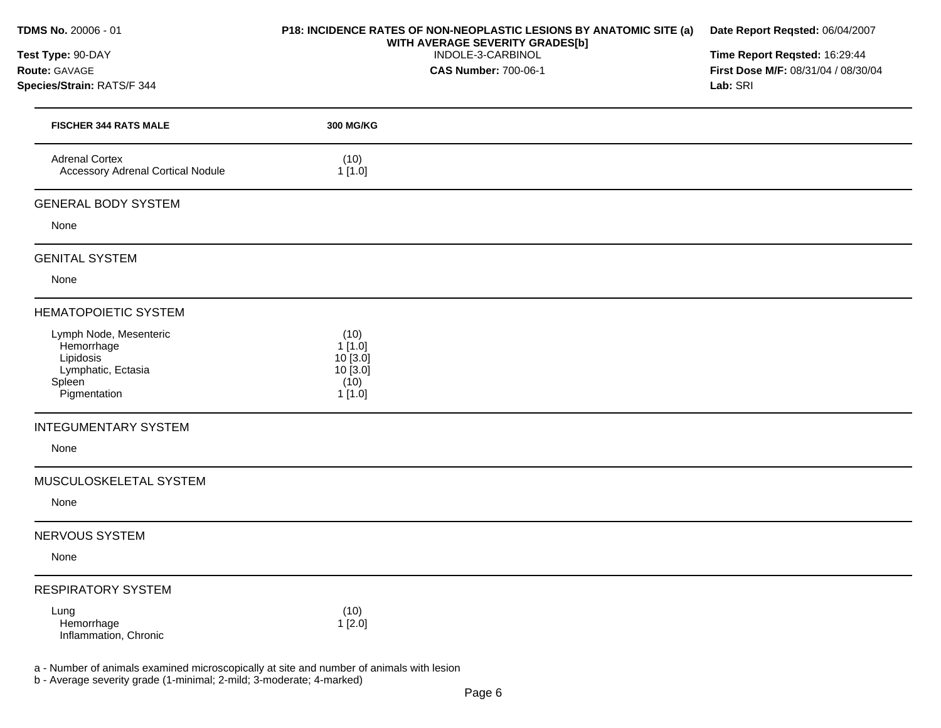|  |  | <b>TDMS No.</b> 20006 - 01 |
|--|--|----------------------------|
|--|--|----------------------------|

## **Test Type:** 90-DAY **Route:** GAVAGE

**Species/Strain:** RATS/F 344

## **P18: INCIDENCE RATES OF NON-NEOPLASTIC LESIONS BY ANATOMIC SITE (a) WITH AVERAGE SEVERITY GRADES[b]**  INDOLE-3-CARBINOL

**CAS Number:** 700-06-1

**Date Report Reqsted:** 06/04/2007

**Time Report Reqsted:** 16:29:44 **First Dose M/F:** 08/31/04 / 08/30/04 **Lab:** SRI

| <b>FISCHER 344 RATS MALE</b>                                                                      | 300 MG/KG                                               |  |
|---------------------------------------------------------------------------------------------------|---------------------------------------------------------|--|
| <b>Adrenal Cortex</b><br><b>Accessory Adrenal Cortical Nodule</b>                                 | (10)<br>1[1.0]                                          |  |
| <b>GENERAL BODY SYSTEM</b>                                                                        |                                                         |  |
| None                                                                                              |                                                         |  |
| <b>GENITAL SYSTEM</b>                                                                             |                                                         |  |
| None                                                                                              |                                                         |  |
| <b>HEMATOPOIETIC SYSTEM</b>                                                                       |                                                         |  |
| Lymph Node, Mesenteric<br>Hemorrhage<br>Lipidosis<br>Lymphatic, Ectasia<br>Spleen<br>Pigmentation | (10)<br>1[1.0]<br>10[3.0]<br>10 [3.0]<br>(10)<br>1[1.0] |  |
| <b>INTEGUMENTARY SYSTEM</b>                                                                       |                                                         |  |
| None                                                                                              |                                                         |  |
| MUSCULOSKELETAL SYSTEM                                                                            |                                                         |  |
| None                                                                                              |                                                         |  |
| NERVOUS SYSTEM                                                                                    |                                                         |  |
| None                                                                                              |                                                         |  |
| <b>RESPIRATORY SYSTEM</b>                                                                         |                                                         |  |
| Lung<br>Hemorrhage<br>Inflammation, Chronic                                                       | (10)<br>1[2.0]                                          |  |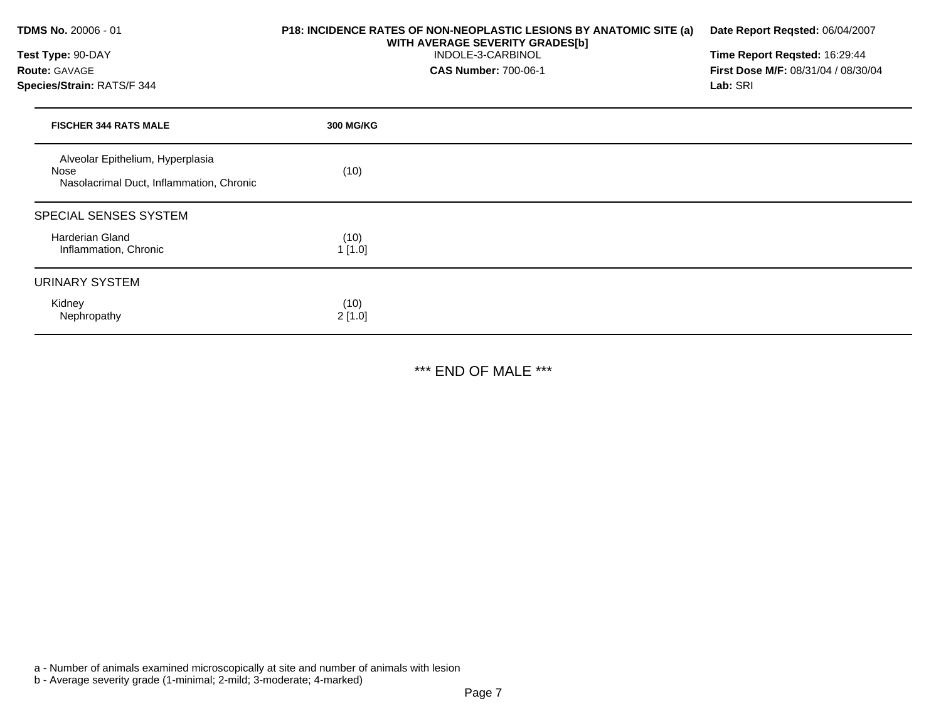| TDMS No. 20006 - 01                                                                  | P18: INCIDENCE RATES OF NON-NEOPLASTIC LESIONS BY ANATOMIC SITE (a)<br>WITH AVERAGE SEVERITY GRADES[b] | Date Report Reqsted: 06/04/2007     |  |  |
|--------------------------------------------------------------------------------------|--------------------------------------------------------------------------------------------------------|-------------------------------------|--|--|
| Test Type: 90-DAY                                                                    | INDOLE-3-CARBINOL                                                                                      | Time Report Reqsted: 16:29:44       |  |  |
| Route: GAVAGE                                                                        | <b>CAS Number: 700-06-1</b>                                                                            | First Dose M/F: 08/31/04 / 08/30/04 |  |  |
| Species/Strain: RATS/F 344                                                           |                                                                                                        | Lab: SRI                            |  |  |
| <b>FISCHER 344 RATS MALE</b>                                                         | <b>300 MG/KG</b>                                                                                       |                                     |  |  |
| Alveolar Epithelium, Hyperplasia<br>Nose<br>Nasolacrimal Duct, Inflammation, Chronic | (10)                                                                                                   |                                     |  |  |
| SPECIAL SENSES SYSTEM                                                                |                                                                                                        |                                     |  |  |
| <b>Harderian Gland</b><br>Inflammation, Chronic                                      | (10)<br>1[1.0]                                                                                         |                                     |  |  |
| <b>URINARY SYSTEM</b>                                                                |                                                                                                        |                                     |  |  |
| Kidney<br>Nephropathy                                                                | (10)<br>2[1.0]                                                                                         |                                     |  |  |

\*\*\* END OF MALE \*\*\*

a - Number of animals examined microscopically at site and number of animals with lesion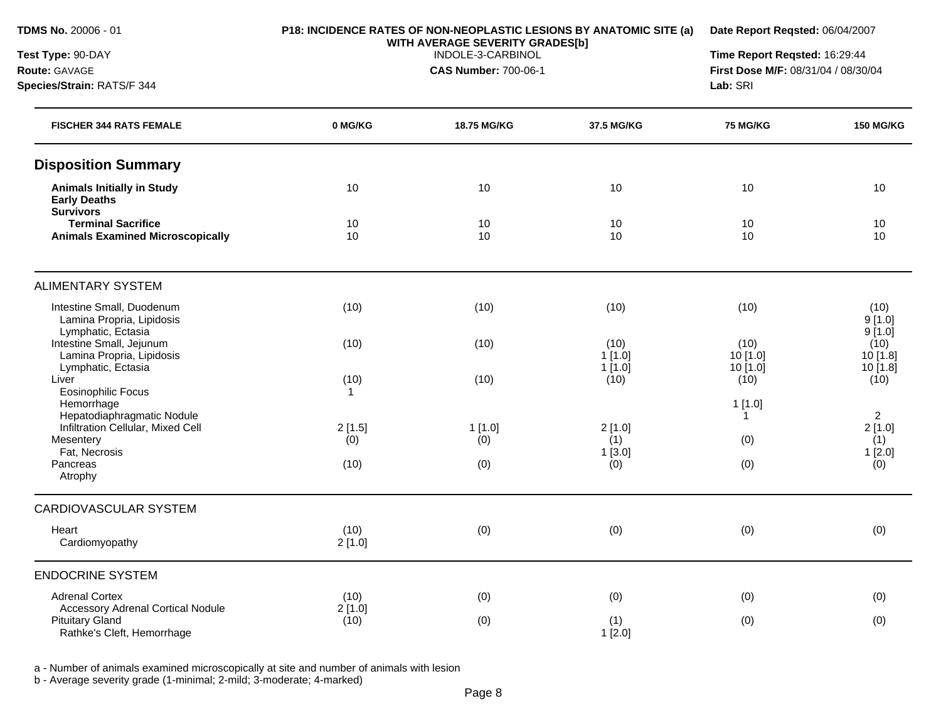**Species/Strain:** RATS/F 344

**Test Type:** 90-DAY **Route:** GAVAGE

### **P18: INCIDENCE RATES OF NON-NEOPLASTIC LESIONS BY ANATOMIC SITE (a) WITH AVERAGE SEVERITY GRADES[b]**

**Date Report Reqsted:** 06/04/2007

INDOLE-3-CARBINOL

**CAS Number:** 700-06-1

**Time Report Reqsted:** 16:29:44 **First Dose M/F:** 08/31/04 / 08/30/04 **Lab:** SRI

| <b>FISCHER 344 RATS FEMALE</b>                                               | 0 MG/KG        | 18.75 MG/KG   | 37.5 MG/KG                  | <b>75 MG/KG</b>              | <b>150 MG/KG</b>                |
|------------------------------------------------------------------------------|----------------|---------------|-----------------------------|------------------------------|---------------------------------|
| <b>Disposition Summary</b>                                                   |                |               |                             |                              |                                 |
| <b>Animals Initially in Study</b><br><b>Early Deaths</b><br><b>Survivors</b> | 10             | 10            | 10                          | 10                           | 10                              |
| <b>Terminal Sacrifice</b><br><b>Animals Examined Microscopically</b>         | 10<br>10       | 10<br>10      | 10<br>10                    | 10<br>10                     | 10<br>10                        |
| <b>ALIMENTARY SYSTEM</b>                                                     |                |               |                             |                              |                                 |
| Intestine Small, Duodenum<br>Lamina Propria, Lipidosis<br>Lymphatic, Ectasia | (10)           | (10)          | (10)                        | (10)                         | (10)<br>9[1.0]<br>9[1.0]        |
| Intestine Small, Jejunum<br>Lamina Propria, Lipidosis<br>Lymphatic, Ectasia  | (10)           | (10)          | (10)<br>$1$ [1.0]<br>1[1.0] | (10)<br>10 [1.0]<br>10 [1.0] | (10)<br>10[1.8]<br>10 [1.8]     |
| Liver<br><b>Eosinophilic Focus</b><br>Hemorrhage                             | (10)<br>1      | (10)          | (10)                        | (10)<br>1[1.0]               | (10)                            |
| Hepatodiaphragmatic Nodule<br>Infiltration Cellular, Mixed Cell<br>Mesentery | 2[1.5]<br>(0)  | 1[1.0]<br>(0) | 2[1.0]<br>(1)               | 1<br>(0)                     | $\overline{2}$<br>2[1.0]<br>(1) |
| Fat, Necrosis<br>Pancreas<br>Atrophy                                         | (10)           | (0)           | 1[3.0]<br>(0)               | (0)                          | 1[2.0]<br>(0)                   |
| CARDIOVASCULAR SYSTEM                                                        |                |               |                             |                              |                                 |
| Heart<br>Cardiomyopathy                                                      | (10)<br>2[1.0] | (0)           | (0)                         | (0)                          | (0)                             |
| <b>ENDOCRINE SYSTEM</b>                                                      |                |               |                             |                              |                                 |
| <b>Adrenal Cortex</b><br>Accessory Adrenal Cortical Nodule                   | (10)<br>2[1.0] | (0)           | (0)                         | (0)                          | (0)                             |
| <b>Pituitary Gland</b><br>Rathke's Cleft, Hemorrhage                         | (10)           | (0)           | (1)<br>$1$ [2.0]            | (0)                          | (0)                             |

a - Number of animals examined microscopically at site and number of animals with lesion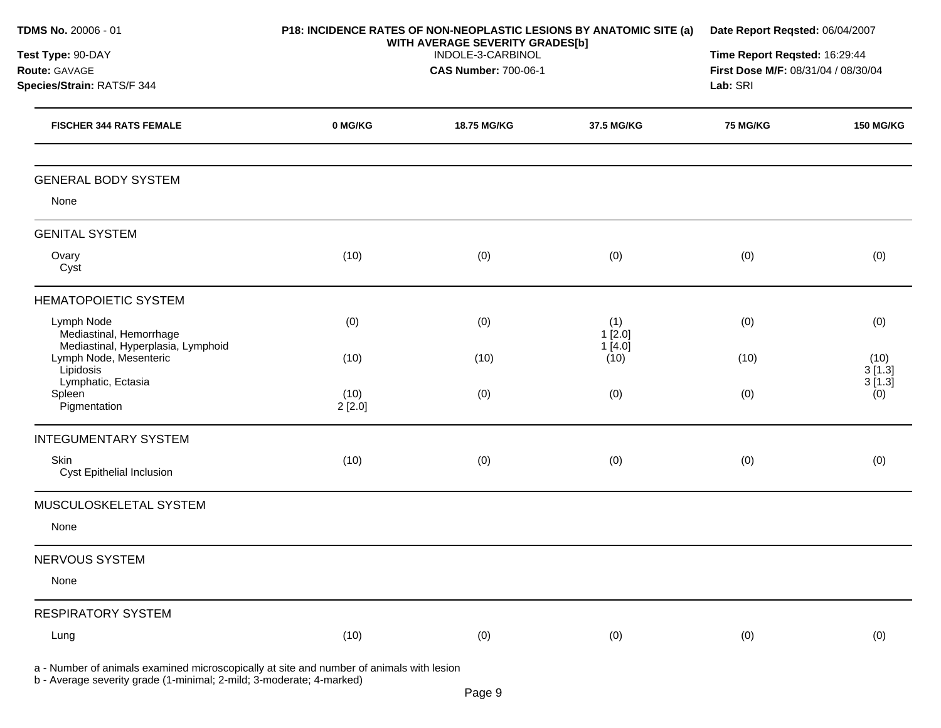| TDMS No. 20006 - 01                                                                      | P18: INCIDENCE RATES OF NON-NEOPLASTIC LESIONS BY ANATOMIC SITE (a)<br>WITH AVERAGE SEVERITY GRADES[b] |             | Date Report Reqsted: 06/04/2007<br>Time Report Reqsted: 16:29:44<br>First Dose M/F: 08/31/04 / 08/30/04<br>Lab: SRI |                 |                          |
|------------------------------------------------------------------------------------------|--------------------------------------------------------------------------------------------------------|-------------|---------------------------------------------------------------------------------------------------------------------|-----------------|--------------------------|
| Test Type: 90-DAY<br>Route: GAVAGE<br>Species/Strain: RATS/F 344                         |                                                                                                        |             |                                                                                                                     |                 |                          |
| <b>FISCHER 344 RATS FEMALE</b>                                                           | 0 MG/KG                                                                                                | 18.75 MG/KG | 37.5 MG/KG                                                                                                          | <b>75 MG/KG</b> | <b>150 MG/KG</b>         |
| <b>GENERAL BODY SYSTEM</b><br>None                                                       |                                                                                                        |             |                                                                                                                     |                 |                          |
| <b>GENITAL SYSTEM</b>                                                                    |                                                                                                        |             |                                                                                                                     |                 |                          |
| Ovary<br>Cyst                                                                            | (10)                                                                                                   | (0)         | (0)                                                                                                                 | (0)             | (0)                      |
| <b>HEMATOPOIETIC SYSTEM</b>                                                              |                                                                                                        |             |                                                                                                                     |                 |                          |
| Lymph Node<br>Mediastinal, Hemorrhage<br>Mediastinal, Hyperplasia, Lymphoid              | (0)                                                                                                    | (0)         | (1)<br>1[2.0]<br>1[4.0]                                                                                             | (0)             | (0)                      |
| Lymph Node, Mesenteric<br>Lipidosis<br>Lymphatic, Ectasia                                | (10)                                                                                                   | (10)        | (10)                                                                                                                | (10)            | (10)<br>3[1.3]<br>3[1.3] |
| Spleen<br>Pigmentation                                                                   | (10)<br>2[2.0]                                                                                         | (0)         | (0)                                                                                                                 | (0)             | (0)                      |
| <b>INTEGUMENTARY SYSTEM</b>                                                              |                                                                                                        |             |                                                                                                                     |                 |                          |
| Skin<br>Cyst Epithelial Inclusion                                                        | (10)                                                                                                   | (0)         | (0)                                                                                                                 | (0)             | (0)                      |
| MUSCULOSKELETAL SYSTEM                                                                   |                                                                                                        |             |                                                                                                                     |                 |                          |
| None                                                                                     |                                                                                                        |             |                                                                                                                     |                 |                          |
| NERVOUS SYSTEM                                                                           |                                                                                                        |             |                                                                                                                     |                 |                          |
| None                                                                                     |                                                                                                        |             |                                                                                                                     |                 |                          |
| <b>RESPIRATORY SYSTEM</b>                                                                |                                                                                                        |             |                                                                                                                     |                 |                          |
| Lung                                                                                     | (10)                                                                                                   | (0)         | (0)                                                                                                                 | (0)             | (0)                      |
| a - Number of animals examined microscopically at site and number of animals with lesion |                                                                                                        |             |                                                                                                                     |                 |                          |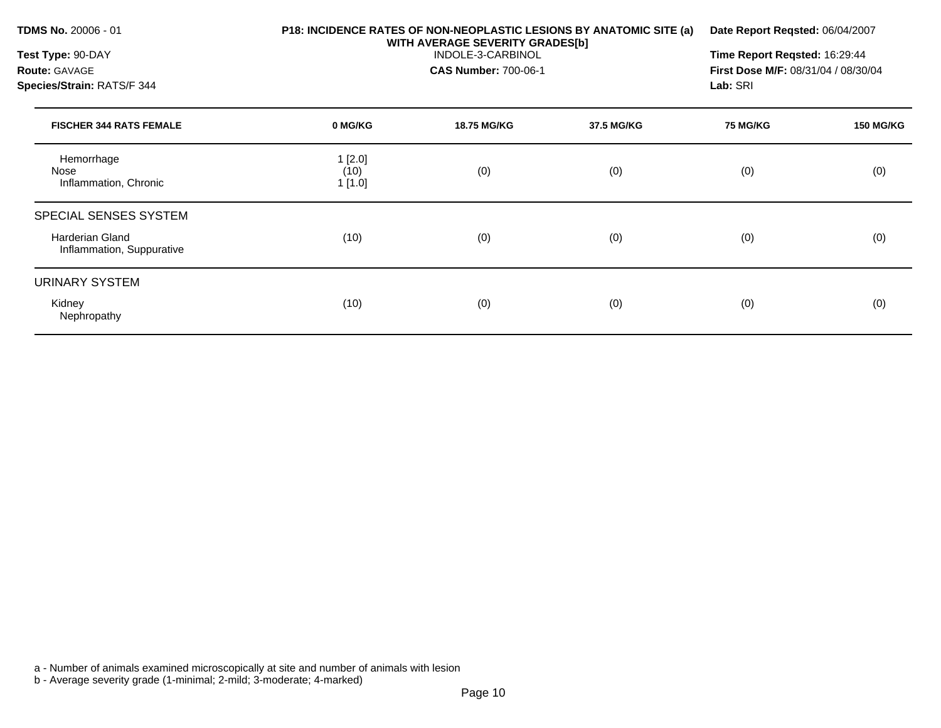| <b>TDMS No. 20006 - 01</b><br>Test Type: 90-DAY<br><b>Route: GAVAGE</b>      | P18: INCIDENCE RATES OF NON-NEOPLASTIC LESIONS BY ANATOMIC SITE (a)<br>WITH AVERAGE SEVERITY GRADES[b] | Date Report Reqsted: 06/04/2007<br>Time Report Reqsted: 16:29:44<br><b>First Dose M/F: 08/31/04 / 08/30/04</b> |            |                             |                  |
|------------------------------------------------------------------------------|--------------------------------------------------------------------------------------------------------|----------------------------------------------------------------------------------------------------------------|------------|-----------------------------|------------------|
| Species/Strain: RATS/F 344<br><b>FISCHER 344 RATS FEMALE</b>                 | 0 MG/KG                                                                                                | <b>18.75 MG/KG</b>                                                                                             | 37.5 MG/KG | Lab: SRI<br><b>75 MG/KG</b> | <b>150 MG/KG</b> |
| Hemorrhage<br>Nose<br>Inflammation, Chronic                                  | 1[2.0]<br>(10)<br>1[1.0]                                                                               | (0)                                                                                                            | (0)        | (0)                         | (0)              |
| SPECIAL SENSES SYSTEM<br><b>Harderian Gland</b><br>Inflammation, Suppurative | (10)                                                                                                   | (0)                                                                                                            | (0)        | (0)                         | (0)              |
| URINARY SYSTEM<br>Kidney<br>Nephropathy                                      | (10)                                                                                                   | (0)                                                                                                            | (0)        | (0)                         | (0)              |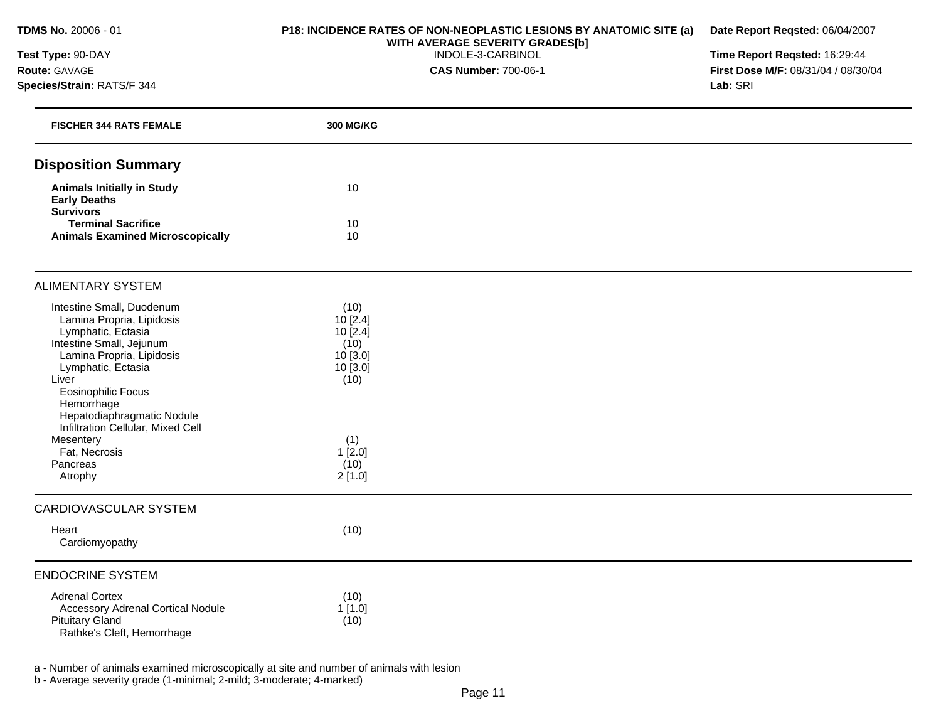## **Test Type:** 90-DAY **Route:** GAVAGE **Species/Strain:** RATS/F 344

## **P18: INCIDENCE RATES OF NON-NEOPLASTIC LESIONS BY ANATOMIC SITE (a) WITH AVERAGE SEVERITY GRADES[b]**  INDOLE-3-CARBINOL

**CAS Number:** 700-06-1

**Date Report Reqsted:** 06/04/2007 **Time Report Reqsted:** 16:29:44

**First Dose M/F:** 08/31/04 / 08/30/04 **Lab:** SRI

| <b>FISCHER 344 RATS FEMALE</b>                                                                                                                                                                                  | 300 MG/KG                                                                   |  |
|-----------------------------------------------------------------------------------------------------------------------------------------------------------------------------------------------------------------|-----------------------------------------------------------------------------|--|
| <b>Disposition Summary</b>                                                                                                                                                                                      |                                                                             |  |
| <b>Animals Initially in Study</b><br><b>Early Deaths</b><br><b>Survivors</b>                                                                                                                                    | 10                                                                          |  |
| <b>Terminal Sacrifice</b><br><b>Animals Examined Microscopically</b>                                                                                                                                            | 10<br>10                                                                    |  |
|                                                                                                                                                                                                                 |                                                                             |  |
| <b>ALIMENTARY SYSTEM</b>                                                                                                                                                                                        |                                                                             |  |
| Intestine Small, Duodenum<br>Lamina Propria, Lipidosis<br>Lymphatic, Ectasia<br>Intestine Small, Jejunum<br>Lamina Propria, Lipidosis<br>Lymphatic, Ectasia<br>Liver<br><b>Eosinophilic Focus</b><br>Hemorrhage | (10)<br>10[2.4]<br>$10$ [2.4]<br>(10)<br>10 [3.0]<br>$10$ [ $3.0$ ]<br>(10) |  |
| Hepatodiaphragmatic Nodule<br>Infiltration Cellular, Mixed Cell                                                                                                                                                 |                                                                             |  |
| Mesentery<br>Fat, Necrosis                                                                                                                                                                                      | (1)<br>1[2.0]                                                               |  |
| Pancreas                                                                                                                                                                                                        | (10)                                                                        |  |
| Atrophy                                                                                                                                                                                                         | 2[1.0]                                                                      |  |
| <b>CARDIOVASCULAR SYSTEM</b>                                                                                                                                                                                    |                                                                             |  |
| Heart<br>Cardiomyopathy                                                                                                                                                                                         | (10)                                                                        |  |
| <b>ENDOCRINE SYSTEM</b>                                                                                                                                                                                         |                                                                             |  |
| <b>Adrenal Cortex</b><br><b>Accessory Adrenal Cortical Nodule</b><br><b>Pituitary Gland</b><br>Rathke's Cleft, Hemorrhage                                                                                       | (10)<br>1[1.0]<br>(10)                                                      |  |
|                                                                                                                                                                                                                 |                                                                             |  |

a - Number of animals examined microscopically at site and number of animals with lesion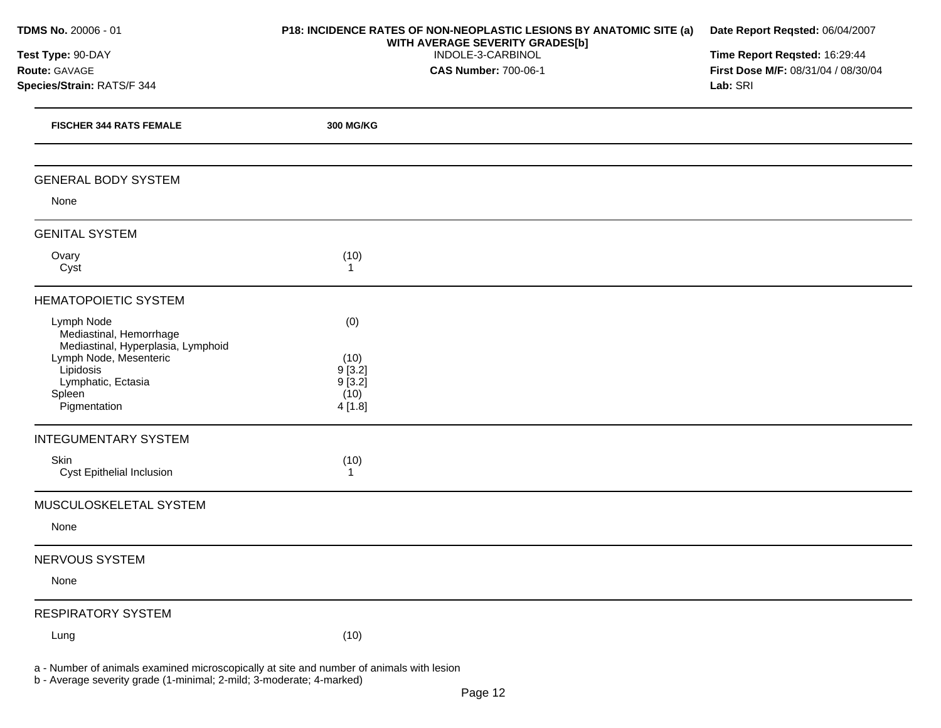| TDMS No. 20006 - 01                                                         | P18: INCIDENCE RATES OF NON-NEOPLASTIC LESIONS BY ANATOMIC SITE (a)<br>WITH AVERAGE SEVERITY GRADES[b] | Date Report Reqsted: 06/04/2007<br>Time Report Reqsted: 16:29:44 |
|-----------------------------------------------------------------------------|--------------------------------------------------------------------------------------------------------|------------------------------------------------------------------|
| Test Type: 90-DAY                                                           | INDOLE-3-CARBINOL                                                                                      |                                                                  |
| Route: GAVAGE                                                               | <b>CAS Number: 700-06-1</b>                                                                            | First Dose M/F: 08/31/04 / 08/30/04                              |
| Species/Strain: RATS/F 344                                                  |                                                                                                        | Lab: SRI                                                         |
| <b>FISCHER 344 RATS FEMALE</b>                                              | 300 MG/KG                                                                                              |                                                                  |
| <b>GENERAL BODY SYSTEM</b>                                                  |                                                                                                        |                                                                  |
| None                                                                        |                                                                                                        |                                                                  |
| <b>GENITAL SYSTEM</b>                                                       |                                                                                                        |                                                                  |
| Ovary<br>Cyst                                                               | (10)<br>1                                                                                              |                                                                  |
| <b>HEMATOPOIETIC SYSTEM</b>                                                 |                                                                                                        |                                                                  |
| Lymph Node<br>Mediastinal, Hemorrhage<br>Mediastinal, Hyperplasia, Lymphoid | (0)                                                                                                    |                                                                  |
| Lymph Node, Mesenteric                                                      | (10)                                                                                                   |                                                                  |
| Lipidosis<br>Lymphatic, Ectasia                                             | 9[3.2]<br>9[3.2]                                                                                       |                                                                  |
| Spleen                                                                      | (10)                                                                                                   |                                                                  |
| Pigmentation                                                                | 4 [1.8]                                                                                                |                                                                  |
| <b>INTEGUMENTARY SYSTEM</b>                                                 |                                                                                                        |                                                                  |
| Skin<br>Cyst Epithelial Inclusion                                           | (10)                                                                                                   |                                                                  |
| MUSCULOSKELETAL SYSTEM                                                      |                                                                                                        |                                                                  |
| None                                                                        |                                                                                                        |                                                                  |
| NERVOUS SYSTEM                                                              |                                                                                                        |                                                                  |
| None                                                                        |                                                                                                        |                                                                  |
| <b>RESPIRATORY SYSTEM</b>                                                   |                                                                                                        |                                                                  |
| Lung                                                                        | (10)                                                                                                   |                                                                  |

a - Number of animals examined microscopically at site and number of animals with lesion